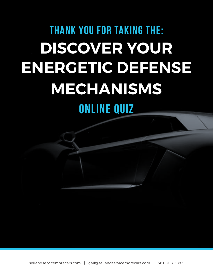# THANK YOU FOR TAKING THE: **DISCOVER YOUR ENERGETIC DEFENSE MECHANISMS** Online Quiz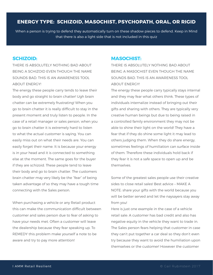# **Energy type: Schizoid, Masochist, Psychopath, Oral, or Rigid**

When a person is trying to defend they automatically turn on these shadow pieces to defend. Keep in Mind that there is also a light side that is not included in this quiz

### **Schizoid:**

There is absolutely nothing bad about being a Schizoid even though the name sounds bad. This is an awareness tool ABOUT ENERGY!

The energy these people carry tends to leave their body and go straight to brain chatter! Ugh brain chatter can be extremely frustrating! When you go to brain chatter it is really difficult to stay in the present moment and truly listen to people. In the case of a retail manager or sales person, when you go to brain chatter it is extremely hard to listen to what the actual customer is saying. You can easily miss out on what their needs are. You can easily forget their name. It is because your energy is in your head and it is connected to something else at the moment. The same goes for the buyer if they are schizoid. These people tend to leave their body and go to brain chatter. The customers brain chatter may very likely be the "fear" of being taken advantage of so they may have a tough time connecting with the Sales person.

When purchasing a vehicle or any Retail product this can make the communication difficult between customer and sales person due to fear of asking to have your needs met. Often a customer will leave the dealership because they fear speaking up. To REMEDY this problem make yourself a note to be aware and try to pay more attention!

## **Masochist:**

There is absolutely nothing bad about being a Masochist even though the name sounds bad. This is an awareness tool ABOUT ENERGY!

The energy these people carry typically stays internal and they may fear what others think. These types of individuals internalize instead of bringing out their gifts and sharing with others. They are typically very creative human beings but due to being raised in a controlled family environment they may not be able to shine their light on the world! They have a fear that if they do shine some light it may lead to others judging them. When they do share energy, sometimes feelings of humiliation can surface inside of them. Therefore these individuals hold back if they fear it is not a safe space to open up and be themselves.

Some of the greatest sales people use their creative sides to close retail sales! Best advice – MAKE A NOTE: share your gifts with the world because you will be better served and let the naysayers stay away from you!

Here is just one example in the case of a vehicle retail sale: A customer has bad credit and also has negative equity in the vehicle they want to trade in. The Sales person fears helping that customer in case they can't put together a car deal so they don't even try because they want to avoid the humiliation upon themselves or the customer! However the customer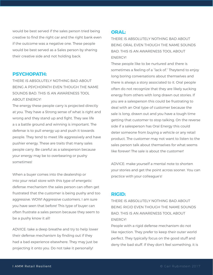would be best served if the sales person tried being creative to find the right car and the right bank even if the outcome was a negative one. These people would be best served as a Sales person by sharing their creative side and not holding back.

#### **Psychopath:**

There is absolutely nothing bad about being a Psychopath even though the name sounds bad. This is an awareness tool about energy!

The energy these people carry is projected directly at you. They have a Strong sense of what is right and wrong and they stand up and fight. They see life a s a battle ground and winning is important. The defense is to pull energy up and push it towards people. They tend to meet life aggressively and have pushier energy. These are traits that many sales people carry. Be careful as a salesperson because your energy may be to overbearing or pushy sometimes!

When a buyer comes into the dealership or into your retail store with this type of energetic defense mechanism the sales person can often get frustrated that the customer is being pushy and too aggressive. WOW! Aggressive customers, I am sure you have seen that before! This type of buyer can often frustrate a sales person because they seem to be a pushy know it all!

ADVICE: take a deep breathe and try to help lower their defense mechanism by finding out if they had a bad experience elsewhere. They may just be projecting it onto you. Do not take it personally!

## **Oral:**

There is absolutely nothing bad about being Oral even though the name sounds bad. This is an awareness tool about energy!

These people like to be nurtured and there is sometimes a feeling of a "lack of." Theytend to enjoy long boring conversations about themselves and there is always a story associated to it. Oral people often do not recognize that they are likely sucking energy from others with long drawn out stories. If you are a salesperson this could be frustrating to deal with an Oral type of customer because the sale is long, drawn out and you have a tough time getting that customer to stop talking. On the reverse side if a salesperson has Oral Energy this could deter someone from buying a vehicle or any retail product. The customer may not want to listen to the sales person talk about themselves for what seems like forever! The sale is about the customer!

ADVICE: make yourself a mental note to shorten your stories and get the point across sooner. You can practice with your colleague's!

#### **Rigid:**

There is absolutely nothing bad about being Rigid even though the name sounds bad. This is an awareness tool about energy!

People with a rigid defense mechanism do not like rejection. They prefer to keep their outer world perfect. They typically focus on the good stuff and deny the bad stuff. If they don't feel something, it is